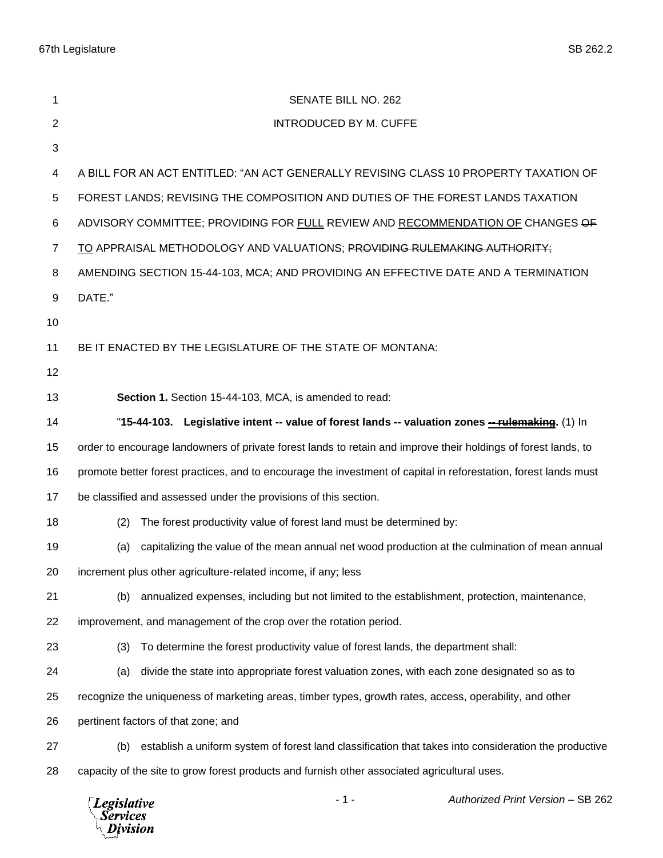| 1              | SENATE BILL NO. 262                                                                                             |  |
|----------------|-----------------------------------------------------------------------------------------------------------------|--|
| $\overline{2}$ | <b>INTRODUCED BY M. CUFFE</b>                                                                                   |  |
| 3              |                                                                                                                 |  |
| 4              | A BILL FOR AN ACT ENTITLED: "AN ACT GENERALLY REVISING CLASS 10 PROPERTY TAXATION OF                            |  |
| 5              | FOREST LANDS; REVISING THE COMPOSITION AND DUTIES OF THE FOREST LANDS TAXATION                                  |  |
| 6              | ADVISORY COMMITTEE; PROVIDING FOR FULL REVIEW AND RECOMMENDATION OF CHANGES OF                                  |  |
| $\overline{7}$ | TO APPRAISAL METHODOLOGY AND VALUATIONS; PROVIDING RULEMAKING AUTHORITY;                                        |  |
| 8              | AMENDING SECTION 15-44-103, MCA; AND PROVIDING AN EFFECTIVE DATE AND A TERMINATION                              |  |
| 9              | DATE."                                                                                                          |  |
| 10             |                                                                                                                 |  |
| 11             | BE IT ENACTED BY THE LEGISLATURE OF THE STATE OF MONTANA:                                                       |  |
| 12             |                                                                                                                 |  |
| 13             | Section 1. Section 15-44-103, MCA, is amended to read:                                                          |  |
| 14             | "15-44-103. Legislative intent -- value of forest lands -- valuation zones -- rulemaking. (1) In                |  |
| 15             | order to encourage landowners of private forest lands to retain and improve their holdings of forest lands, to  |  |
| 16             | promote better forest practices, and to encourage the investment of capital in reforestation, forest lands must |  |
| 17             | be classified and assessed under the provisions of this section.                                                |  |
| 18             | The forest productivity value of forest land must be determined by:<br>(2)                                      |  |
| 19             | capitalizing the value of the mean annual net wood production at the culmination of mean annual<br>(a)          |  |
| 20             | increment plus other agriculture-related income, if any; less                                                   |  |
| 21             | annualized expenses, including but not limited to the establishment, protection, maintenance,<br>(b)            |  |
| 22             | improvement, and management of the crop over the rotation period.                                               |  |
| 23             | To determine the forest productivity value of forest lands, the department shall:<br>(3)                        |  |
| 24             | divide the state into appropriate forest valuation zones, with each zone designated so as to<br>(a)             |  |
| 25             | recognize the uniqueness of marketing areas, timber types, growth rates, access, operability, and other         |  |
| 26             | pertinent factors of that zone; and                                                                             |  |
| 27             | establish a uniform system of forest land classification that takes into consideration the productive<br>(b)    |  |
| 28             | capacity of the site to grow forest products and furnish other associated agricultural uses.                    |  |
|                | $-1-$<br>Authorized Print Version - SB 262<br><b>Legislative</b><br><b>Services</b><br>ivision                  |  |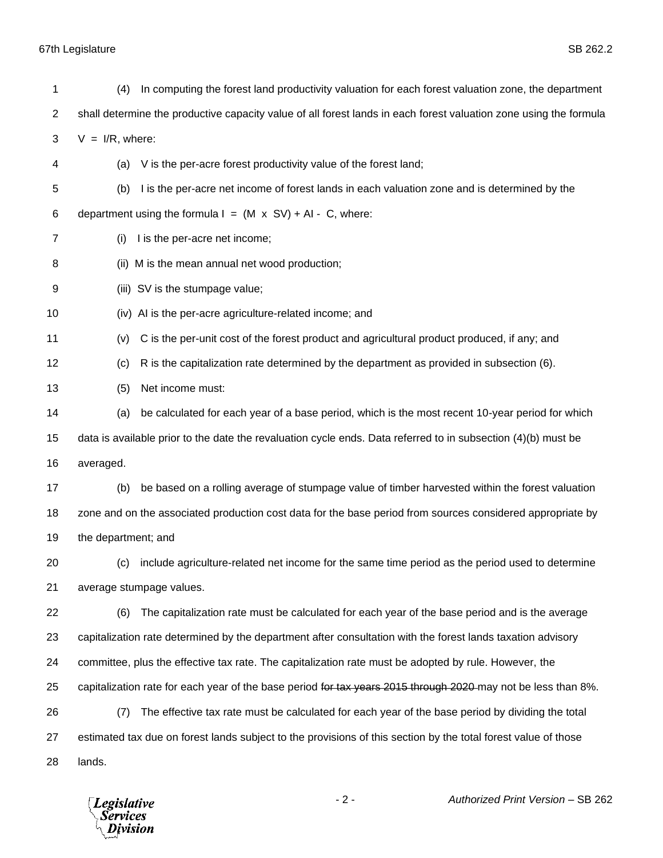67th Legislature SB 262.2

| 1              | (4)                 | In computing the forest land productivity valuation for each forest valuation zone, the department                |
|----------------|---------------------|-------------------------------------------------------------------------------------------------------------------|
| $\overline{c}$ |                     | shall determine the productive capacity value of all forest lands in each forest valuation zone using the formula |
| 3              | $V = I/R$ , where:  |                                                                                                                   |
| 4              | (a)                 | V is the per-acre forest productivity value of the forest land;                                                   |
| 5              | (b)                 | I is the per-acre net income of forest lands in each valuation zone and is determined by the                      |
| 6              |                     | department using the formula $I = (M \times SV) + AI - C$ , where:                                                |
| 7              | (i)                 | I is the per-acre net income;                                                                                     |
| 8              |                     | (ii) M is the mean annual net wood production;                                                                    |
| 9              |                     | (iii) SV is the stumpage value;                                                                                   |
| 10             |                     | (iv) AI is the per-acre agriculture-related income; and                                                           |
| 11             | (v)                 | C is the per-unit cost of the forest product and agricultural product produced, if any; and                       |
| 12             | (c)                 | R is the capitalization rate determined by the department as provided in subsection (6).                          |
| 13             | (5)                 | Net income must:                                                                                                  |
| 14             | (a)                 | be calculated for each year of a base period, which is the most recent 10-year period for which                   |
| 15             |                     | data is available prior to the date the revaluation cycle ends. Data referred to in subsection (4)(b) must be     |
| 16             | averaged.           |                                                                                                                   |
| 17             | (b)                 | be based on a rolling average of stumpage value of timber harvested within the forest valuation                   |
| 18             |                     | zone and on the associated production cost data for the base period from sources considered appropriate by        |
| 19             | the department; and |                                                                                                                   |
| 20             |                     | (c) include agriculture-related net income for the same time period as the period used to determine               |
| 21             |                     | average stumpage values.                                                                                          |
| 22             | (6)                 | The capitalization rate must be calculated for each year of the base period and is the average                    |
| 23             |                     | capitalization rate determined by the department after consultation with the forest lands taxation advisory       |
| 24             |                     | committee, plus the effective tax rate. The capitalization rate must be adopted by rule. However, the             |
| 25             |                     | capitalization rate for each year of the base period for tax years 2015 through 2020 may not be less than 8%.     |
| 26             | (7)                 | The effective tax rate must be calculated for each year of the base period by dividing the total                  |
| 27             |                     | estimated tax due on forest lands subject to the provisions of this section by the total forest value of those    |
| 28             | lands.              |                                                                                                                   |

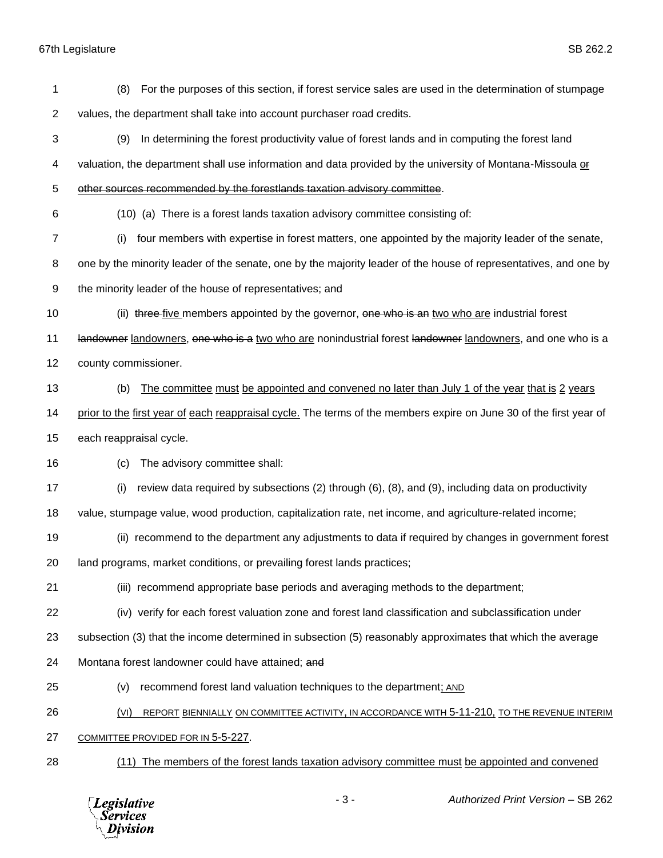| 1              | For the purposes of this section, if forest service sales are used in the determination of stumpage<br>(8)         |
|----------------|--------------------------------------------------------------------------------------------------------------------|
| $\overline{c}$ | values, the department shall take into account purchaser road credits.                                             |
| 3              | (9)<br>In determining the forest productivity value of forest lands and in computing the forest land               |
| 4              | valuation, the department shall use information and data provided by the university of Montana-Missoula of         |
| 5              | other sources recommended by the forestlands taxation advisory committee.                                          |
| 6              | (10) (a) There is a forest lands taxation advisory committee consisting of:                                        |
| $\overline{7}$ | four members with expertise in forest matters, one appointed by the majority leader of the senate,<br>(i)          |
| 8              | one by the minority leader of the senate, one by the majority leader of the house of representatives, and one by   |
| 9              | the minority leader of the house of representatives; and                                                           |
| 10             | (ii) three five members appointed by the governor, one who is an two who are industrial forest                     |
| 11             | landowner landowners, one who is a two who are nonindustrial forest landowner landowners, and one who is a         |
| 12             | county commissioner.                                                                                               |
| 13             | The committee must be appointed and convened no later than July 1 of the year that is 2 years<br>(b)               |
| 14             | prior to the first year of each reappraisal cycle. The terms of the members expire on June 30 of the first year of |
| 15             | each reappraisal cycle.                                                                                            |
| 16             | The advisory committee shall:<br>(c)                                                                               |
| 17             | review data required by subsections (2) through (6), (8), and (9), including data on productivity<br>(i)           |
| 18             | value, stumpage value, wood production, capitalization rate, net income, and agriculture-related income;           |
| 19             | (ii) recommend to the department any adjustments to data if required by changes in government forest               |
| 20             | land programs, market conditions, or prevailing forest lands practices;                                            |
| 21             | (iii) recommend appropriate base periods and averaging methods to the department;                                  |
| 22             | (iv) verify for each forest valuation zone and forest land classification and subclassification under              |
| 23             | subsection (3) that the income determined in subsection (5) reasonably approximates that which the average         |
| 24             | Montana forest landowner could have attained; and                                                                  |
| 25             | recommend forest land valuation techniques to the department; AND<br>(v)                                           |
| 26             | REPORT BIENNIALLY ON COMMITTEE ACTIVITY, IN ACCORDANCE WITH 5-11-210, TO THE REVENUE INTERIM<br>(VI)               |
| 27             | COMMITTEE PROVIDED FOR IN 5-5-227.                                                                                 |
| 28             | (11) The members of the forest lands taxation advisory committee must be appointed and convened                    |
|                |                                                                                                                    |